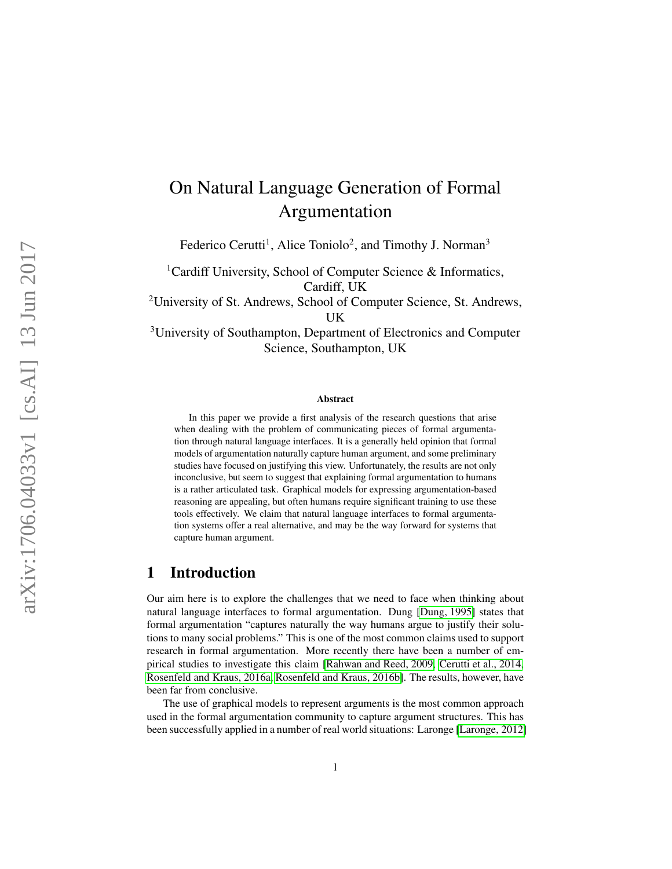# On Natural Language Generation of Formal Argumentation

Federico Cerutti<sup>1</sup>, Alice Toniolo<sup>2</sup>, and Timothy J. Norman<sup>3</sup>

<sup>1</sup>Cardiff University, School of Computer Science & Informatics, Cardiff, UK

<sup>2</sup>University of St. Andrews, School of Computer Science, St. Andrews, UK

<sup>3</sup>University of Southampton, Department of Electronics and Computer Science, Southampton, UK

#### Abstract

In this paper we provide a first analysis of the research questions that arise when dealing with the problem of communicating pieces of formal argumentation through natural language interfaces. It is a generally held opinion that formal models of argumentation naturally capture human argument, and some preliminary studies have focused on justifying this view. Unfortunately, the results are not only inconclusive, but seem to suggest that explaining formal argumentation to humans is a rather articulated task. Graphical models for expressing argumentation-based reasoning are appealing, but often humans require significant training to use these tools effectively. We claim that natural language interfaces to formal argumentation systems offer a real alternative, and may be the way forward for systems that capture human argument.

# 1 Introduction

Our aim here is to explore the challenges that we need to face when thinking about natural language interfaces to formal argumentation. Dung [\[Dung, 1995\]](#page-14-0) states that formal argumentation "captures naturally the way humans argue to justify their solutions to many social problems." This is one of the most common claims used to support research in formal argumentation. More recently there have been a number of empirical studies to investigate this claim [\[Rahwan and Reed, 2009,](#page-15-0) [Cerutti et al., 2014,](#page-14-1) [Rosenfeld and Kraus, 2016a,](#page-15-1) [Rosenfeld and Kraus, 2016b\]](#page-15-2). The results, however, have been far from conclusive.

The use of graphical models to represent arguments is the most common approach used in the formal argumentation community to capture argument structures. This has been successfully applied in a number of real world situations: Laronge [\[Laronge, 2012\]](#page-15-3)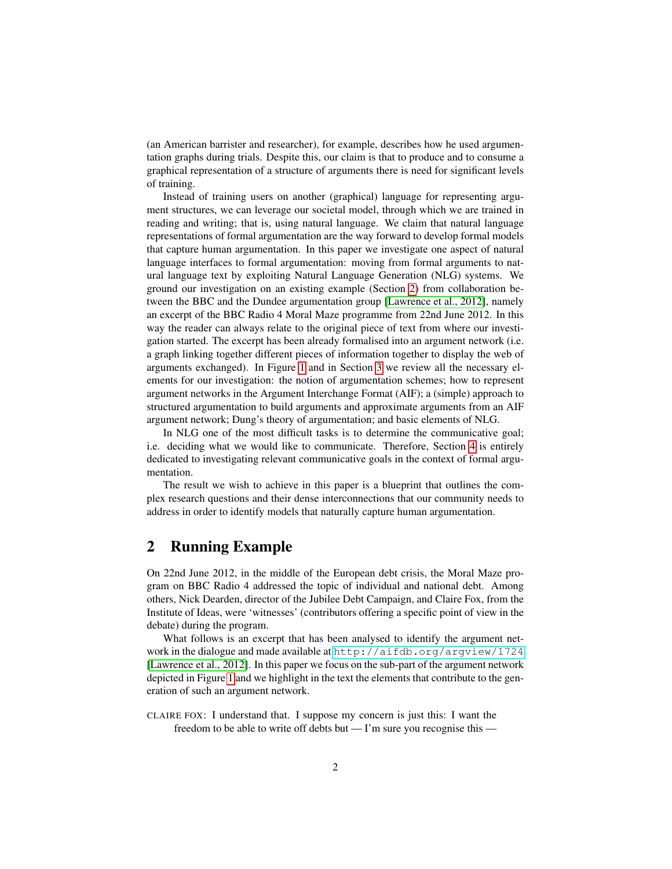(an American barrister and researcher), for example, describes how he used argumentation graphs during trials. Despite this, our claim is that to produce and to consume a graphical representation of a structure of arguments there is need for significant levels of training.

Instead of training users on another (graphical) language for representing argument structures, we can leverage our societal model, through which we are trained in reading and writing; that is, using natural language. We claim that natural language representations of formal argumentation are the way forward to develop formal models that capture human argumentation. In this paper we investigate one aspect of natural language interfaces to formal argumentation: moving from formal arguments to natural language text by exploiting Natural Language Generation (NLG) systems. We ground our investigation on an existing example (Section [2\)](#page-1-0) from collaboration between the BBC and the Dundee argumentation group [\[Lawrence et al., 2012\]](#page-15-4), namely an excerpt of the BBC Radio 4 Moral Maze programme from 22nd June 2012. In this way the reader can always relate to the original piece of text from where our investigation started. The excerpt has been already formalised into an argument network (i.e. a graph linking together different pieces of information together to display the web of arguments exchanged). In Figure [1](#page-3-0) and in Section [3](#page-2-0) we review all the necessary elements for our investigation: the notion of argumentation schemes; how to represent argument networks in the Argument Interchange Format (AIF); a (simple) approach to structured argumentation to build arguments and approximate arguments from an AIF argument network; Dung's theory of argumentation; and basic elements of NLG.

In NLG one of the most difficult tasks is to determine the communicative goal; i.e. deciding what we would like to communicate. Therefore, Section [4](#page-8-0) is entirely dedicated to investigating relevant communicative goals in the context of formal argumentation.

The result we wish to achieve in this paper is a blueprint that outlines the complex research questions and their dense interconnections that our community needs to address in order to identify models that naturally capture human argumentation.

## <span id="page-1-0"></span>2 Running Example

On 22nd June 2012, in the middle of the European debt crisis, the Moral Maze program on BBC Radio 4 addressed the topic of individual and national debt. Among others, Nick Dearden, director of the Jubilee Debt Campaign, and Claire Fox, from the Institute of Ideas, were 'witnesses' (contributors offering a specific point of view in the debate) during the program.

What follows is an excerpt that has been analysed to identify the argument network in the dialogue and made available at <http://aifdb.org/argview/1724> [\[Lawrence et al., 2012\]](#page-15-4). In this paper we focus on the sub-part of the argument network depicted in Figure [1](#page-3-0) and we highlight in the text the elements that contribute to the generation of such an argument network.

CLAIRE FOX: I understand that. I suppose my concern is just this: I want the freedom to be able to write off debts but — I'm sure you recognise this —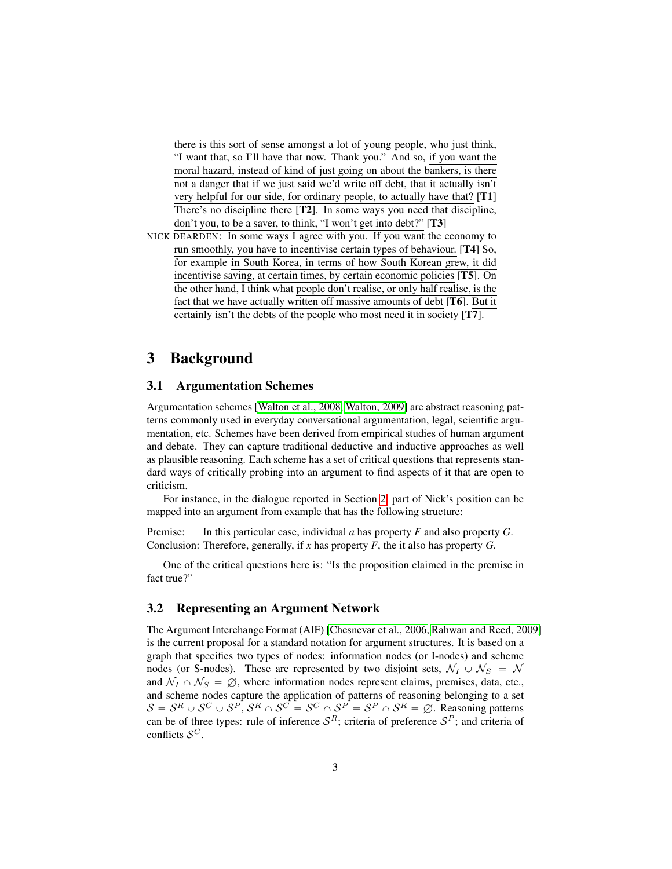there is this sort of sense amongst a lot of young people, who just think, "I want that, so I'll have that now. Thank you." And so, if you want the moral hazard, instead of kind of just going on about the bankers, is there not a danger that if we just said we'd write off debt, that it actually isn't very helpful for our side, for ordinary people, to actually have that? [T1] There's no discipline there [T2]. In some ways you need that discipline, don't you, to be a saver, to think, "I won't get into debt?" [T3]

NICK DEARDEN: In some ways I agree with you. If you want the economy to run smoothly, you have to incentivise certain types of behaviour. [T4] So, for example in South Korea, in terms of how South Korean grew, it did incentivise saving, at certain times, by certain economic policies [T5]. On the other hand, I think what people don't realise, or only half realise, is the fact that we have actually written off massive amounts of debt [T6]. But it certainly isn't the debts of the people who most need it in society [T7].

# <span id="page-2-0"></span>3 Background

#### 3.1 Argumentation Schemes

Argumentation schemes [\[Walton et al., 2008,](#page-16-0) [Walton, 2009\]](#page-16-1) are abstract reasoning patterns commonly used in everyday conversational argumentation, legal, scientific argumentation, etc. Schemes have been derived from empirical studies of human argument and debate. They can capture traditional deductive and inductive approaches as well as plausible reasoning. Each scheme has a set of critical questions that represents standard ways of critically probing into an argument to find aspects of it that are open to criticism.

For instance, in the dialogue reported in Section [2,](#page-1-0) part of Nick's position can be mapped into an argument from example that has the following structure:

Premise: In this particular case, individual *a* has property *F* and also property *G*. Conclusion: Therefore, generally, if *x* has property *F*, the it also has property *G*.

One of the critical questions here is: "Is the proposition claimed in the premise in fact true?"

#### 3.2 Representing an Argument Network

The Argument Interchange Format (AIF) [\[Chesnevar et al., 2006,](#page-14-2) [Rahwan and Reed, 2009\]](#page-15-0) is the current proposal for a standard notation for argument structures. It is based on a graph that specifies two types of nodes: information nodes (or I-nodes) and scheme nodes (or S-nodes). These are represented by two disjoint sets,  $\mathcal{N}_I \cup \mathcal{N}_S = \mathcal{N}$ and  $\mathcal{N}_I \cap \mathcal{N}_S = \emptyset$ , where information nodes represent claims, premises, data, etc., and scheme nodes capture the application of patterns of reasoning belonging to a set  $S = S^R \cup S^C \cup S^P$ ,  $S^R \cap S^C = S^C \cap S^P = S^P \cap S^R = \emptyset$ . Reasoning patterns can be of three types: rule of inference  $S<sup>R</sup>$ ; criteria of preference  $S<sup>P</sup>$ ; and criteria of conflicts  $S^C$ .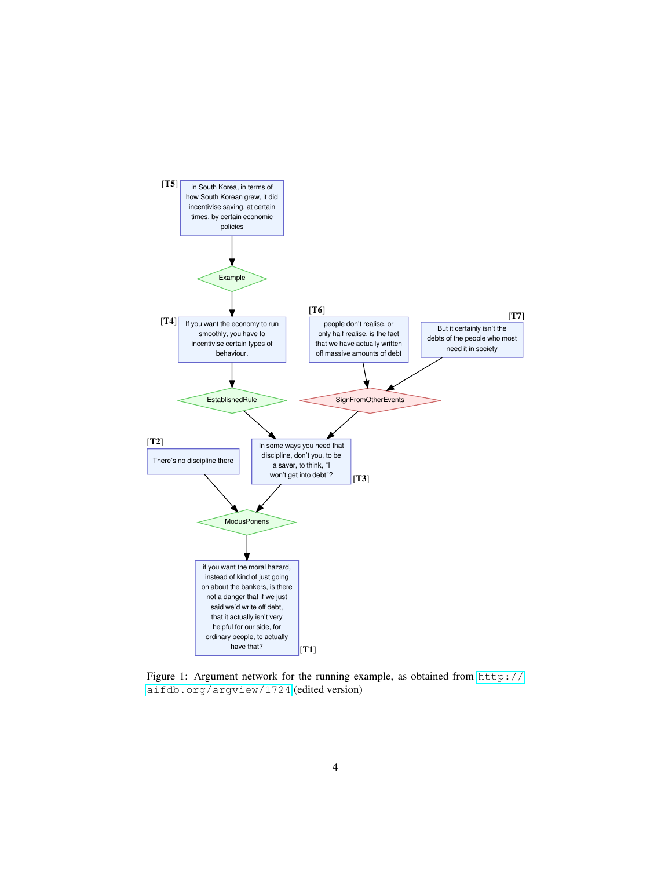

<span id="page-3-0"></span>Figure 1: Argument network for the running example, as obtained from [http://](http://aifdb.org/argview/1724) [aifdb.org/argview/1724](http://aifdb.org/argview/1724) (edited version)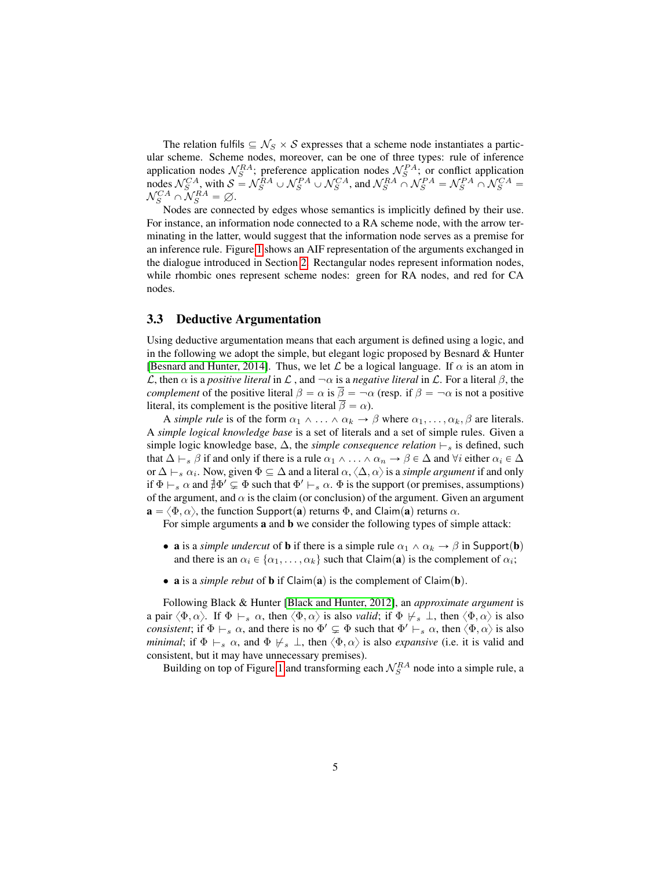The relation fulfils  $\subseteq \mathcal{N}_S \times \mathcal{S}$  expresses that a scheme node instantiates a particular scheme. Scheme nodes, moreover, can be one of three types: rule of inference application nodes  $\mathcal{N}_S^{RA}$ ; preference application nodes  $\mathcal{N}_S^{PA}$ ; or conflict application nodes  $\mathcal{N}_S^{CA}$ , with  $S = \mathcal{N}_S^{RA} \cup \mathcal{N}_S^{PA} \cup \mathcal{N}_S^{CA}$ , and  $\mathcal{N}_S^{RA} \cap \mathcal{N}_S^{PA} = \mathcal{N}_S^{PA} \cap \mathcal{N}_S^{CA} =$  $\mathcal{N}_S^{CA} \cap \mathcal{N}_S^{RA} = \varnothing.$ 

Nodes are connected by edges whose semantics is implicitly defined by their use. For instance, an information node connected to a RA scheme node, with the arrow terminating in the latter, would suggest that the information node serves as a premise for an inference rule. Figure [1](#page-3-0) shows an AIF representation of the arguments exchanged in the dialogue introduced in Section [2.](#page-1-0) Rectangular nodes represent information nodes, while rhombic ones represent scheme nodes: green for RA nodes, and red for CA nodes.

#### <span id="page-4-0"></span>3.3 Deductive Argumentation

Using deductive argumentation means that each argument is defined using a logic, and in the following we adopt the simple, but elegant logic proposed by Besnard & Hunter [\[Besnard and Hunter, 2014\]](#page-14-3). Thus, we let  $\mathcal L$  be a logical language. If  $\alpha$  is an atom in L, then  $\alpha$  is a *positive literal* in L, and  $-\alpha$  is a *negative literal* in L. For a literal  $\beta$ , the *complement* of the positive literal  $\beta = \alpha$  is  $\overline{\beta} = -\alpha$  (resp. if  $\beta = -\alpha$  is not a positive literal, its complement is the positive literal  $\overline{\beta} = \alpha$ ).

A *simple rule* is of the form  $\alpha_1 \wedge \ldots \wedge \alpha_k \rightarrow \beta$  where  $\alpha_1, \ldots, \alpha_k, \beta$  are literals. A *simple logical knowledge base* is a set of literals and a set of simple rules. Given a simple logic knowledge base,  $\Delta$ , the *simple consequence relation*  $\vdash$ <sub>s</sub> is defined, such that  $\Delta \vdash_s \beta$  if and only if there is a rule  $\alpha_1 \wedge \ldots \wedge \alpha_n \to \beta \in \Delta$  and  $\forall i$  either  $\alpha_i \in \Delta$ or  $\Delta \vdash_s \alpha_i$ . Now, given  $\Phi \subseteq \Delta$  and a literal  $\alpha, \langle \Delta, \alpha \rangle$  is a *simple argument* if and only if  $\Phi \vdash_s \alpha$  and  $\sharp \Phi' \subsetneq \Phi$  such that  $\Phi' \vdash_s \alpha$ .  $\Phi$  is the support (or premises, assumptions) of the argument, and  $\alpha$  is the claim (or conclusion) of the argument. Given an argument  $\mathbf{a} = \langle \Phi, \alpha \rangle$ , the function Support(a) returns  $\Phi$ , and Claim(a) returns  $\alpha$ .

For simple arguments a and b we consider the following types of simple attack:

- a is a *simple undercut* of **b** if there is a simple rule  $\alpha_1 \wedge \alpha_k \rightarrow \beta$  in Support(**b**) and there is an  $\alpha_i \in \{\alpha_1, \dots, \alpha_k\}$  such that Claim(a) is the complement of  $\alpha_i$ ;
- **a** is a *simple rebut* of **b** if  $Claim(a)$  is the complement of  $Claim(b)$ .

Following Black & Hunter [\[Black and Hunter, 2012\]](#page-14-4), an *approximate argument* is a pair  $\langle \Phi, \alpha \rangle$ . If  $\Phi \vdash_s \alpha$ , then  $\langle \Phi, \alpha \rangle$  is also *valid*; if  $\Phi \not\models_s \bot$ , then  $\langle \Phi, \alpha \rangle$  is also *consistent*; if  $\Phi \vdash_s \alpha$ , and there is no  $\Phi' \subsetneq \Phi$  such that  $\Phi' \vdash_s \alpha$ , then  $\langle \Phi, \alpha \rangle$  is also *minimal*; if  $\Phi \vdash_s \alpha$ , and  $\Phi \not\models_s \bot$ , then  $\langle \Phi, \alpha \rangle$  is also *expansive* (i.e. it is valid and consistent, but it may have unnecessary premises).

Building on top of Figure [1](#page-3-0) and transforming each  $\mathcal{N}_S^{RA}$  node into a simple rule, a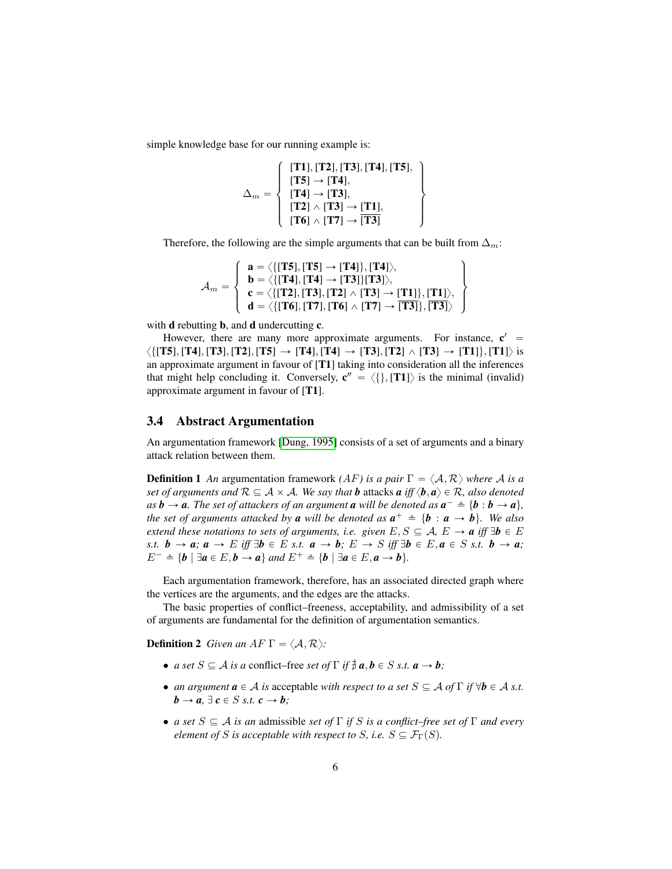simple knowledge base for our running example is:

$$
\Delta_m = \left\{ \begin{array}{l} [\mathbf{T1}], [\mathbf{T2}], [\mathbf{T3}], [\mathbf{T4}], [\mathbf{T5}], \\ [\mathbf{T5}] \rightarrow [\mathbf{T4}], \\ [\mathbf{T4}] \rightarrow [\mathbf{T3}], \\ [\mathbf{T2}] \land [\mathbf{T3}] \rightarrow [\mathbf{T1}], \\ [\mathbf{T6}] \land [\mathbf{T7}] \rightarrow [\mathbf{T3}] \end{array} \right\}
$$

Therefore, the following are the simple arguments that can be built from  $\Delta_m$ :

$$
\mathcal{A}_m = \left\{\begin{array}{l} \mathbf{a} = \big\langle \{\text{[T5]}, \text{[T5]} \rightarrow \text{[T4]}\}, \text{[T4]}\big\rangle, \\ \mathbf{b} = \big\langle \{\text{[T4]}, \text{[T4]} \rightarrow \text{[T3]}\} \text{[T3]}\big\rangle, \\ \mathbf{c} = \big\langle \{\text{[T2]}, \text{[T3]}, \text{[T2]} \land \text{[T3]} \rightarrow \text{[T1]}\}, \text{[T1]}\big\rangle, \\ \mathbf{d} = \big\langle \{\text{[T6]}, \text{[T7]}, \text{[T6]} \land \text{[T7]} \rightarrow \text{[T3]}\}, \text{[T3]}\big\rangle \end{array}\right\}
$$

with **d** rebutting **b**, and **d** undercutting **c**.

However, there are many more approximate arguments. For instance,  $\mathbf{c}' =$  $\langle \{ [T5], [T4], [T3], [T2], [T5] \rightarrow [T4], [T4] \rightarrow [T3], [T2] \land [T3] \rightarrow [T1] \rangle \}$  is an approximate argument in favour of [T1] taking into consideration all the inferences that might help concluding it. Conversely,  $\mathbf{c}'' = \langle \{\}, [\mathbf{T1}]\rangle$  is the minimal (invalid) approximate argument in favour of [T1].

#### 3.4 Abstract Argumentation

An argumentation framework [\[Dung, 1995\]](#page-14-0) consists of a set of arguments and a binary attack relation between them.

**Definition 1** An argumentation framework *(AF)* is a pair  $\Gamma = \langle A, R \rangle$  where A is a *set of arguments and*  $\mathcal{R} \subseteq \mathcal{A} \times \mathcal{A}$ *. We say that b* attacks *a iff*  $\langle \mathbf{b}, \mathbf{a} \rangle \in \mathcal{R}$ *, also denoted as*  $b \to a$ . The set of attackers of an argument **a** will be denoted as  $a^- \triangleq \{b : b \to a\}$ , *the set of arguments attacked by a will be denoted as*  $a^+ \triangleq \{b : a \rightarrow b\}$ *. We also extend these notations to sets of arguments, i.e. given*  $E, S \subseteq A, E \rightarrow a$  *iff*  $\exists b \in E$ *s.t.*  $b \rightarrow a$ ;  $a \rightarrow E$  *iff*  $\exists b \in E$  *s.t.*  $a \rightarrow b$ ;  $E \rightarrow S$  *iff*  $\exists b \in E$ ,  $a \in S$  *s.t.*  $b \rightarrow a$ ;  $E^- \triangleq \{b \mid \exists a \in E, b \rightarrow a\}$  and  $E^+ \triangleq \{b \mid \exists a \in E, a \rightarrow b\}.$ 

Each argumentation framework, therefore, has an associated directed graph where the vertices are the arguments, and the edges are the attacks.

The basic properties of conflict–freeness, acceptability, and admissibility of a set of arguments are fundamental for the definition of argumentation semantics.

**Definition 2** *Given an AF*  $\Gamma = \langle A, \mathcal{R} \rangle$ *:* 

- *a set*  $S \subseteq A$  *is a* conflict–free *set* of  $\Gamma$  *if*  $\frac{4}{7}$  *a*, *b*  $\in$  *S s.t. a*  $\rightarrow$  *b*;
- *an argument*  $\mathbf{a} \in \mathcal{A}$  *is* acceptable *with respect to a set*  $S \subseteq \mathcal{A}$  *of*  $\Gamma$  *if*  $\forall \mathbf{b} \in \mathcal{A}$  *s.t.*  $\mathbf{b} \rightarrow \mathbf{a}, \exists \mathbf{c} \in S \text{ s.t. } \mathbf{c} \rightarrow \mathbf{b}$ ;
- *a set*  $S \subseteq A$  *is an* admissible *set of*  $\Gamma$  *if* S *is a conflict–free set of*  $\Gamma$  *and every element of* S *is acceptable with respect to* S, *i.e.*  $S \subseteq \mathcal{F}_{\Gamma}(S)$ *.*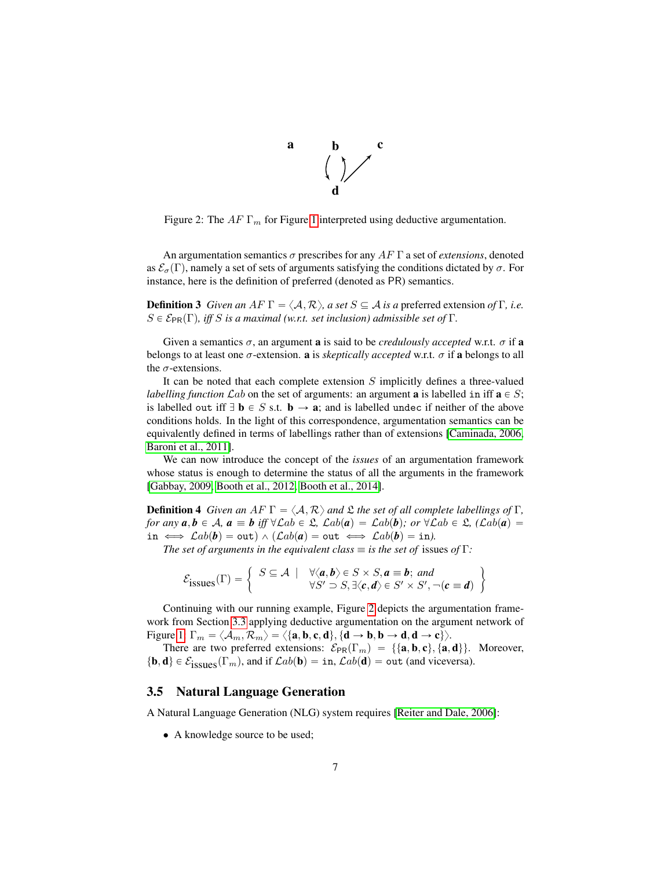

<span id="page-6-0"></span>Figure 2: The  $AF \Gamma_m$  for Figure [1](#page-3-0) interpreted using deductive argumentation.

An argumentation semantics  $\sigma$  prescribes for any  $AF \Gamma$  a set of *extensions*, denoted as  $\mathcal{E}_{\sigma}(\Gamma)$ , namely a set of sets of arguments satisfying the conditions dictated by  $\sigma$ . For instance, here is the definition of preferred (denoted as PR) semantics.

**Definition 3** *Given an AF*  $\Gamma = \langle A, \mathcal{R} \rangle$ *, a set*  $S \subseteq A$  *is a* preferred extension *of*  $\Gamma$ *, i.e.*  $S \in \mathcal{E}_{PR}(\Gamma)$ , *iff* S *is a maximal* (w.r.t. set inclusion) admissible set of Γ.

Given a semantics  $\sigma$ , an argument **a** is said to be *credulously accepted* w.r.t.  $\sigma$  if **a** belongs to at least one  $\sigma$ -extension. **a** is *skeptically accepted* w.r.t.  $\sigma$  if **a** belongs to all the  $\sigma$ -extensions.

It can be noted that each complete extension  $S$  implicitly defines a three-valued *labelling function*  $\mathcal{L}ab$  on the set of arguments: an argument **a** is labelled in iff  $\mathbf{a} \in S$ ; is labelled out iff  $\exists$  **b**  $\in$  *S* s.t. **b**  $\rightarrow$  **a**; and is labelled undec if neither of the above conditions holds. In the light of this correspondence, argumentation semantics can be equivalently defined in terms of labellings rather than of extensions [\[Caminada, 2006,](#page-14-5) [Baroni et al., 2011\]](#page-14-6).

We can now introduce the concept of the *issues* of an argumentation framework whose status is enough to determine the status of all the arguments in the framework [\[Gabbay, 2009,](#page-14-7) [Booth et al., 2012,](#page-14-8) [Booth et al., 2014\]](#page-14-9).

<span id="page-6-1"></span>**Definition 4** *Given an AF*  $\Gamma = \langle A, \mathcal{R} \rangle$  *and*  $\mathcal{L}$  *the set of all complete labellings of*  $\Gamma$ *, for any*  $a, b \in A$ ,  $a \equiv b$  *iff*  $\forall \mathcal{L}ab \in \mathcal{L}$ ,  $\mathcal{L}ab(a) = \mathcal{L}ab(b)$ ; or  $\forall \mathcal{L}ab \in \mathcal{L}$ ,  $(\mathcal{L}ab(a) =$ in  $\iff$   $\mathcal{L}ab(\bm{b}) = \text{out} \land$   $(\mathcal{L}ab(\bm{a}) = \text{out} \iff \mathcal{L}ab(\bm{b}) = \text{in}$ ).

*The set of arguments in the equivalent class*  $\equiv$  *is the set of issues of* Γ*:* 

$$
\mathcal{E}_{\text{issues}}(\Gamma) = \left\{ \begin{array}{c} S \subseteq \mathcal{A} \mid \forall \langle \boldsymbol{a}, \boldsymbol{b} \rangle \in S \times S, \boldsymbol{a} \equiv \boldsymbol{b}; \text{ and} \\ \forall S' \supset S, \exists \langle \boldsymbol{c}, \boldsymbol{d} \rangle \in S' \times S', \neg(\boldsymbol{c} \equiv \boldsymbol{d}) \end{array} \right\}
$$

Continuing with our running example, Figure [2](#page-6-0) depicts the argumentation framework from Section [3.3](#page-4-0) applying deductive argumentation on the argument network of Figure [1:](#page-3-0)  $\Gamma_m = \langle A_m, \mathcal{R}_m \rangle = \langle \{\mathbf{a}, \mathbf{b}, \mathbf{c}, \mathbf{d}\}, \{\mathbf{d} \rightarrow \mathbf{b}, \mathbf{b} \rightarrow \mathbf{d}, \mathbf{d} \rightarrow \mathbf{c}\} \rangle.$ 

There are two preferred extensions:  $\mathcal{E}_{PR}(\Gamma_m) = \{\{\mathbf{a}, \mathbf{b}, \mathbf{c}\}, \{\mathbf{a}, \mathbf{d}\}\}\.$  Moreover,  $\{\mathbf b, \mathbf d\} \in \mathcal E_{\text{issues}}(\Gamma_m)$ , and if  $\mathcal{L}ab(\mathbf b) = \text{in}, \mathcal{L}ab(\mathbf d) = \text{out}$  (and viceversa).

#### 3.5 Natural Language Generation

A Natural Language Generation (NLG) system requires [\[Reiter and Dale, 2006\]](#page-15-5):

• A knowledge source to be used;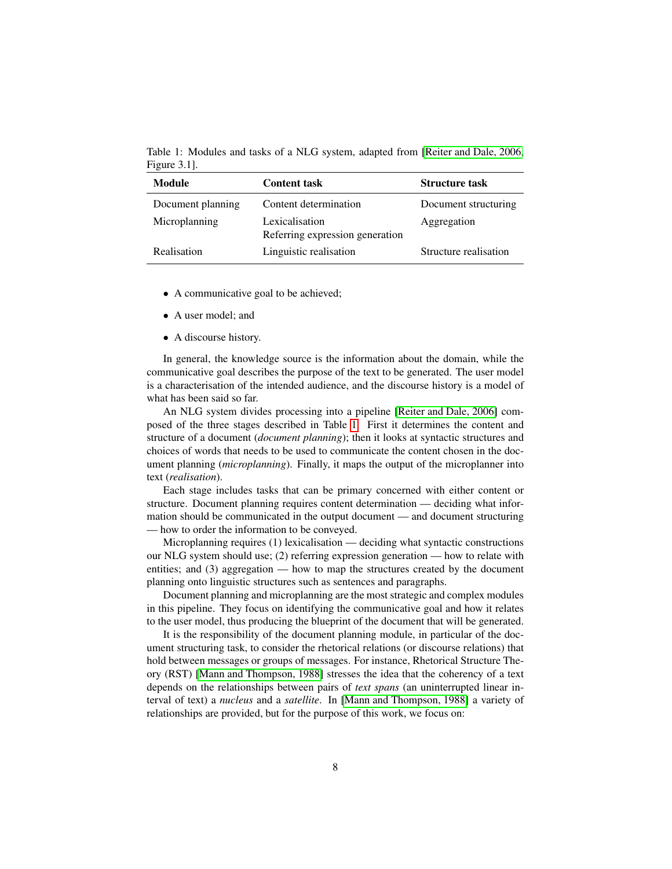<span id="page-7-0"></span>Table 1: Modules and tasks of a NLG system, adapted from [\[Reiter and Dale, 2006,](#page-15-5) Figure 3.1].

| Module            | <b>Content task</b>                               | <b>Structure task</b> |
|-------------------|---------------------------------------------------|-----------------------|
| Document planning | Content determination                             | Document structuring  |
| Microplanning     | Lexicalisation<br>Referring expression generation | Aggregation           |
| Realisation       | Linguistic realisation                            | Structure realisation |

- A communicative goal to be achieved;
- A user model; and
- A discourse history.

In general, the knowledge source is the information about the domain, while the communicative goal describes the purpose of the text to be generated. The user model is a characterisation of the intended audience, and the discourse history is a model of what has been said so far.

An NLG system divides processing into a pipeline [\[Reiter and Dale, 2006\]](#page-15-5) composed of the three stages described in Table [1.](#page-7-0) First it determines the content and structure of a document (*document planning*); then it looks at syntactic structures and choices of words that needs to be used to communicate the content chosen in the document planning (*microplanning*). Finally, it maps the output of the microplanner into text (*realisation*).

Each stage includes tasks that can be primary concerned with either content or structure. Document planning requires content determination — deciding what information should be communicated in the output document — and document structuring — how to order the information to be conveyed.

Microplanning requires (1) lexicalisation — deciding what syntactic constructions our NLG system should use; (2) referring expression generation — how to relate with entities; and (3) aggregation — how to map the structures created by the document planning onto linguistic structures such as sentences and paragraphs.

Document planning and microplanning are the most strategic and complex modules in this pipeline. They focus on identifying the communicative goal and how it relates to the user model, thus producing the blueprint of the document that will be generated.

It is the responsibility of the document planning module, in particular of the document structuring task, to consider the rhetorical relations (or discourse relations) that hold between messages or groups of messages. For instance, Rhetorical Structure Theory (RST) [\[Mann and Thompson, 1988\]](#page-15-6) stresses the idea that the coherency of a text depends on the relationships between pairs of *text spans* (an uninterrupted linear interval of text) a *nucleus* and a *satellite*. In [\[Mann and Thompson, 1988\]](#page-15-6) a variety of relationships are provided, but for the purpose of this work, we focus on: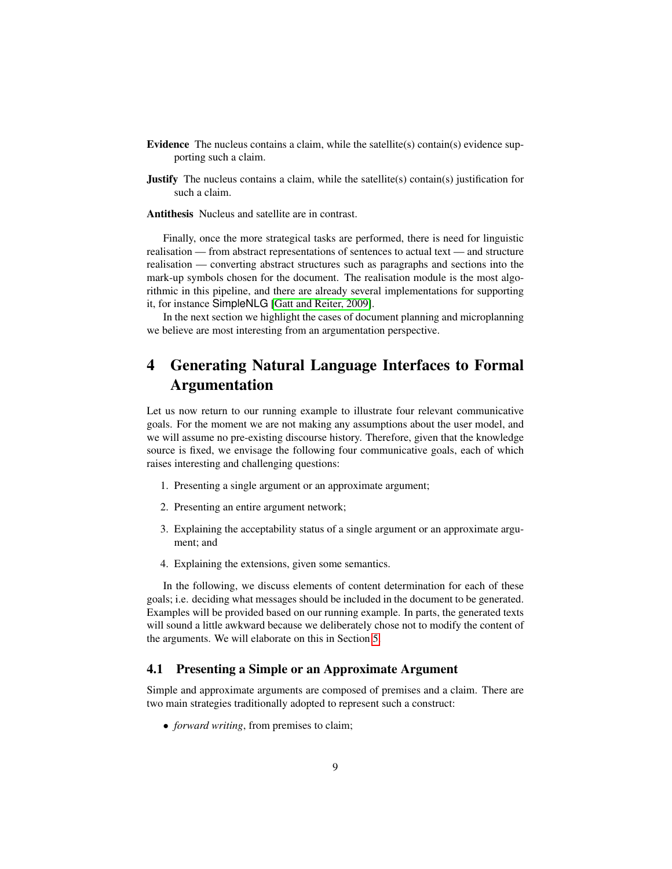- Evidence The nucleus contains a claim, while the satellite(s) contain(s) evidence supporting such a claim.
- Justify The nucleus contains a claim, while the satellite(s) contain(s) justification for such a claim.

Antithesis Nucleus and satellite are in contrast.

Finally, once the more strategical tasks are performed, there is need for linguistic realisation — from abstract representations of sentences to actual text — and structure realisation — converting abstract structures such as paragraphs and sections into the mark-up symbols chosen for the document. The realisation module is the most algorithmic in this pipeline, and there are already several implementations for supporting it, for instance SimpleNLG [\[Gatt and Reiter, 2009\]](#page-14-10).

In the next section we highlight the cases of document planning and microplanning we believe are most interesting from an argumentation perspective.

# <span id="page-8-0"></span>4 Generating Natural Language Interfaces to Formal Argumentation

Let us now return to our running example to illustrate four relevant communicative goals. For the moment we are not making any assumptions about the user model, and we will assume no pre-existing discourse history. Therefore, given that the knowledge source is fixed, we envisage the following four communicative goals, each of which raises interesting and challenging questions:

- 1. Presenting a single argument or an approximate argument;
- 2. Presenting an entire argument network;
- 3. Explaining the acceptability status of a single argument or an approximate argument; and
- 4. Explaining the extensions, given some semantics.

In the following, we discuss elements of content determination for each of these goals; i.e. deciding what messages should be included in the document to be generated. Examples will be provided based on our running example. In parts, the generated texts will sound a little awkward because we deliberately chose not to modify the content of the arguments. We will elaborate on this in Section [5.](#page-13-0)

#### 4.1 Presenting a Simple or an Approximate Argument

Simple and approximate arguments are composed of premises and a claim. There are two main strategies traditionally adopted to represent such a construct:

• *forward writing*, from premises to claim;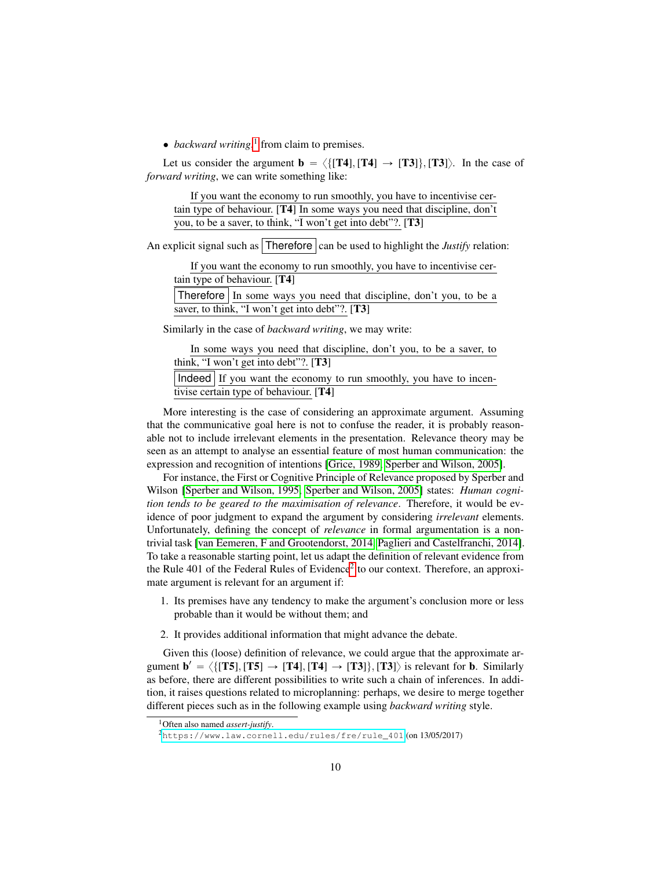• *backward writing*,<sup>[1](#page-9-0)</sup> from claim to premises.

Let us consider the argument  $\mathbf{b} = \langle \{ [T4], [T4] \rightarrow [T3] \rangle, [T3] \rangle$ . In the case of *forward writing*, we can write something like:

| If you want the economy to run smoothly, you have to incentivise cer-     |  |
|---------------------------------------------------------------------------|--|
| tain type of behaviour. [T4] In some ways you need that discipline, don't |  |
| you, to be a saver, to think, "I won't get into debt"?. [T3]              |  |

An explicit signal such as  $\vert$  Therefore  $\vert$  can be used to highlight the *Justify* relation:

If you want the economy to run smoothly, you have to incentivise certain type of behaviour. [T4]

Therefore In some ways you need that discipline, don't you, to be a saver, to think, "I won't get into debt"?. [T3]

Similarly in the case of *backward writing*, we may write:

| In some ways you need that discipline, don't you, to be a saver, to  |
|----------------------------------------------------------------------|
| think, "I won't get into debt"?. $[T3]$                              |
| Indeed   If you want the economy to run smoothly, you have to incen- |
| tivise certain type of behaviour. $[T4]$                             |

More interesting is the case of considering an approximate argument. Assuming that the communicative goal here is not to confuse the reader, it is probably reasonable not to include irrelevant elements in the presentation. Relevance theory may be seen as an attempt to analyse an essential feature of most human communication: the expression and recognition of intentions [\[Grice, 1989,](#page-15-7) [Sperber and Wilson, 2005\]](#page-15-8).

For instance, the First or Cognitive Principle of Relevance proposed by Sperber and Wilson [\[Sperber and Wilson, 1995,](#page-15-9) [Sperber and Wilson, 2005\]](#page-15-8) states: *Human cognition tends to be geared to the maximisation of relevance*. Therefore, it would be evidence of poor judgment to expand the argument by considering *irrelevant* elements. Unfortunately, defining the concept of *relevance* in formal argumentation is a nontrivial task [\[van Eemeren, F and Grootendorst, 2014,](#page-16-2) [Paglieri and Castelfranchi, 2014\]](#page-15-10). To take a reasonable starting point, let us adapt the definition of relevant evidence from the Rule  $401$  of the Federal Rules of Evidence<sup>[2](#page-9-1)</sup> to our context. Therefore, an approximate argument is relevant for an argument if:

- 1. Its premises have any tendency to make the argument's conclusion more or less probable than it would be without them; and
- 2. It provides additional information that might advance the debate.

Given this (loose) definition of relevance, we could argue that the approximate argument  $\mathbf{b}' = \langle \{ [T5], [T5] \rightarrow [T4], [T4] \rightarrow [T3] \rangle, [T3] \rangle \}$  is relevant for **b**. Similarly as before, there are different possibilities to write such a chain of inferences. In addition, it raises questions related to microplanning: perhaps, we desire to merge together different pieces such as in the following example using *backward writing* style.

<span id="page-9-0"></span><sup>1</sup>Often also named *assert-justify*.

<span id="page-9-1"></span><sup>2</sup>[https://www.law.cornell.edu/rules/fre/rule\\_401](https://www.law.cornell.edu/rules/fre/rule_401) (on 13/05/2017)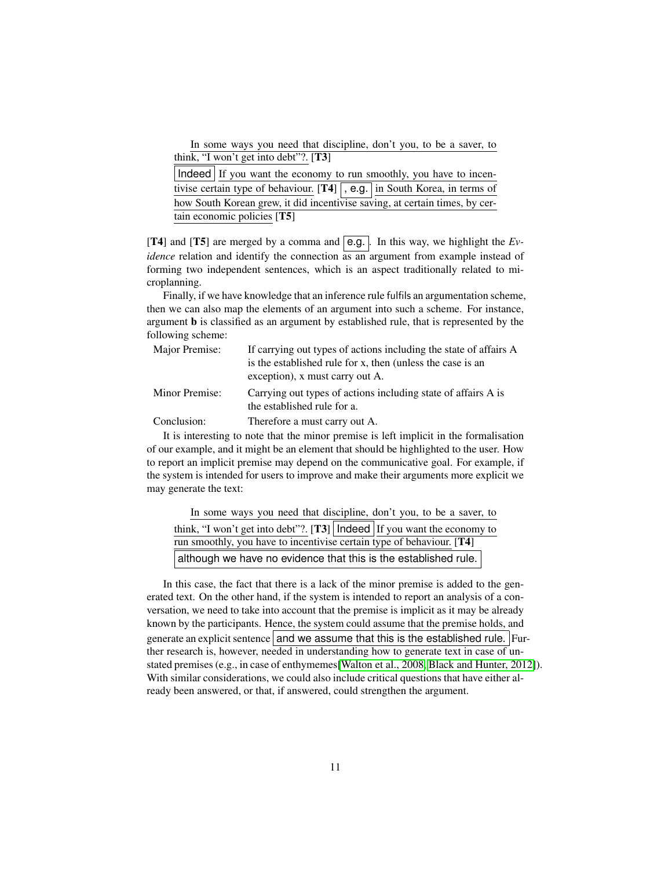In some ways you need that discipline, don't you, to be a saver, to think, "I won't get into debt"?. [T3]

| Indeed If you want the economy to run smoothly, you have to incen-          |  |
|-----------------------------------------------------------------------------|--|
| tivise certain type of behaviour. $[T4]$ , e.g. in South Korea, in terms of |  |
| how South Korean grew, it did incentivise saving, at certain times, by cer- |  |
| tain economic policies [T5]                                                 |  |

[T4] and [T5] are merged by a comma and  $\overline{e.g.}$ . In this way, we highlight the *Evidence* relation and identify the connection as an argument from example instead of forming two independent sentences, which is an aspect traditionally related to microplanning.

Finally, if we have knowledge that an inference rule fulfils an argumentation scheme, then we can also map the elements of an argument into such a scheme. For instance, argument b is classified as an argument by established rule, that is represented by the following scheme:

| Major Premise: | If carrying out types of actions including the state of affairs A<br>is the established rule for x, then (unless the case is an<br>exception), x must carry out A. |
|----------------|--------------------------------------------------------------------------------------------------------------------------------------------------------------------|
| Minor Premise: | Carrying out types of actions including state of affairs A is<br>the established rule for a.                                                                       |
| Conclusion:    | Therefore a must carry out A.                                                                                                                                      |

It is interesting to note that the minor premise is left implicit in the formalisation of our example, and it might be an element that should be highlighted to the user. How to report an implicit premise may depend on the communicative goal. For example, if the system is intended for users to improve and make their arguments more explicit we may generate the text:

| In some ways you need that discipline, don't you, to be a saver, to         |  |
|-----------------------------------------------------------------------------|--|
| think, "I won't get into debt"?. [T3]   Indeed   If you want the economy to |  |
| run smoothly, you have to incentivise certain type of behaviour. [T4]       |  |
| although we have no evidence that this is the established rule.             |  |

In this case, the fact that there is a lack of the minor premise is added to the generated text. On the other hand, if the system is intended to report an analysis of a conversation, we need to take into account that the premise is implicit as it may be already known by the participants. Hence, the system could assume that the premise holds, and generate an explicit sentence and we assume that this is the established rule. Further research is, however, needed in understanding how to generate text in case of unstated premises (e.g., in case of enthymemes[\[Walton et al., 2008,](#page-16-0) [Black and Hunter, 2012\]](#page-14-4)). With similar considerations, we could also include critical questions that have either already been answered, or that, if answered, could strengthen the argument.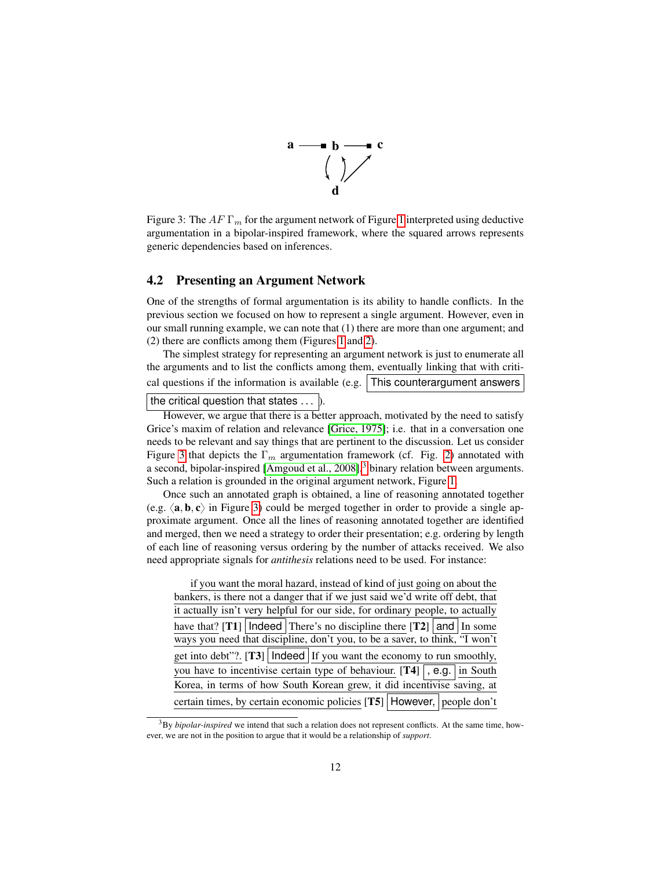

<span id="page-11-0"></span>Figure 3: The  $AF \Gamma_m$  for the argument network of Figure [1](#page-3-0) interpreted using deductive argumentation in a bipolar-inspired framework, where the squared arrows represents generic dependencies based on inferences.

#### <span id="page-11-2"></span>4.2 Presenting an Argument Network

One of the strengths of formal argumentation is its ability to handle conflicts. In the previous section we focused on how to represent a single argument. However, even in our small running example, we can note that (1) there are more than one argument; and (2) there are conflicts among them (Figures [1](#page-3-0) and [2\)](#page-6-0).

The simplest strategy for representing an argument network is just to enumerate all the arguments and to list the conflicts among them, eventually linking that with critical questions if the information is available (e.g.  $\vert$  This counterargument answers

the critical question that states  $\dots$  ).

However, we argue that there is a better approach, motivated by the need to satisfy Grice's maxim of relation and relevance [\[Grice, 1975\]](#page-15-11); i.e. that in a conversation one needs to be relevant and say things that are pertinent to the discussion. Let us consider Figure [3](#page-11-0) that depicts the  $\Gamma_m$  argumentation framework (cf. Fig. [2\)](#page-6-0) annotated with a second, bipolar-inspired [\[Amgoud et al., 2008\]](#page-13-1),<sup>[3](#page-11-1)</sup> binary relation between arguments. Such a relation is grounded in the original argument network, Figure [1.](#page-3-0)

Once such an annotated graph is obtained, a line of reasoning annotated together (e.g.  $\langle \mathbf{a}, \mathbf{b}, \mathbf{c} \rangle$  in Figure [3\)](#page-11-0) could be merged together in order to provide a single approximate argument. Once all the lines of reasoning annotated together are identified and merged, then we need a strategy to order their presentation; e.g. ordering by length of each line of reasoning versus ordering by the number of attacks received. We also need appropriate signals for *antithesis* relations need to be used. For instance:

| if you want the moral hazard, instead of kind of just going on about the      |  |  |
|-------------------------------------------------------------------------------|--|--|
| bankers, is there not a danger that if we just said we'd write off debt, that |  |  |
| it actually isn't very helpful for our side, for ordinary people, to actually |  |  |
| have that? [T1]   Indeed   There's no discipline there $ T2 $   and   In some |  |  |
| ways you need that discipline, don't you, to be a saver, to think, "I won't   |  |  |
| get into debt"?. [T3]   Indeed   If you want the economy to run smoothly,     |  |  |
| you have to incentivise certain type of behaviour. $[T4]$ , e.g. in South     |  |  |
| Korea, in terms of how South Korean grew, it did incentivise saving, at       |  |  |
| certain times, by certain economic policies [T5]   However,   people don't    |  |  |

<span id="page-11-1"></span><sup>3</sup>By *bipolar-inspired* we intend that such a relation does not represent conflicts. At the same time, however, we are not in the position to argue that it would be a relationship of *support*.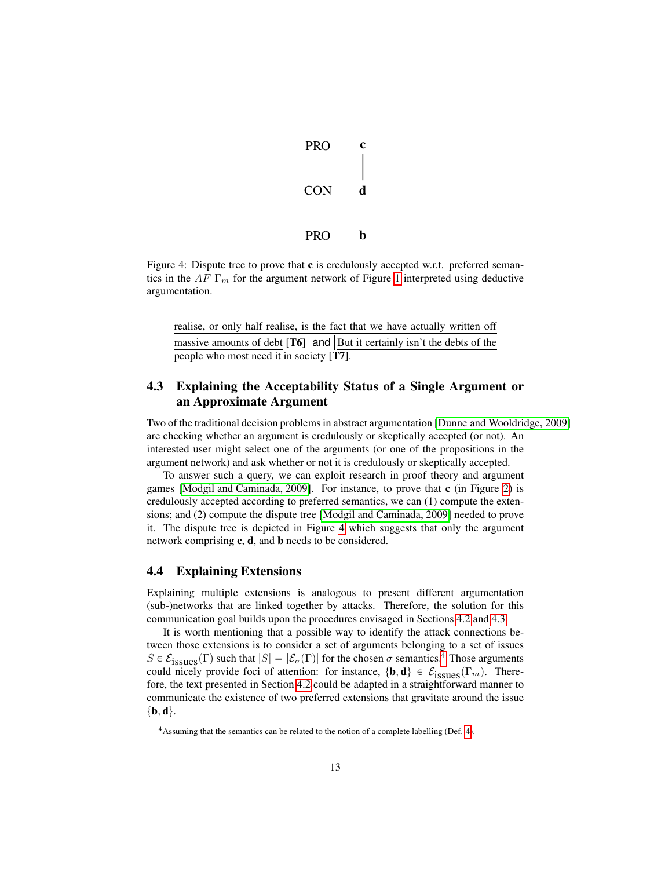

<span id="page-12-0"></span>Figure 4: Dispute tree to prove that c is credulously accepted w.r.t. preferred semantics in the AF  $\Gamma_m$  for the argument network of Figure [1](#page-3-0) interpreted using deductive argumentation.

realise, or only half realise, is the fact that we have actually written off massive amounts of debt  $[T6]$  and But it certainly isn't the debts of the people who most need it in society [T7].

### <span id="page-12-1"></span>4.3 Explaining the Acceptability Status of a Single Argument or an Approximate Argument

Two of the traditional decision problems in abstract argumentation [\[Dunne and Wooldridge, 2009\]](#page-14-11) are checking whether an argument is credulously or skeptically accepted (or not). An interested user might select one of the arguments (or one of the propositions in the argument network) and ask whether or not it is credulously or skeptically accepted.

To answer such a query, we can exploit research in proof theory and argument games [\[Modgil and Caminada, 2009\]](#page-15-12). For instance, to prove that c (in Figure [2\)](#page-6-0) is credulously accepted according to preferred semantics, we can (1) compute the extensions; and (2) compute the dispute tree [\[Modgil and Caminada, 2009\]](#page-15-12) needed to prove it. The dispute tree is depicted in Figure [4](#page-12-0) which suggests that only the argument network comprising c, d, and b needs to be considered.

#### 4.4 Explaining Extensions

Explaining multiple extensions is analogous to present different argumentation (sub-)networks that are linked together by attacks. Therefore, the solution for this communication goal builds upon the procedures envisaged in Sections [4.2](#page-11-2) and [4.3.](#page-12-1)

It is worth mentioning that a possible way to identify the attack connections between those extensions is to consider a set of arguments belonging to a set of issues  $S \in \mathcal{E}_{isymes}(\Gamma)$  such that  $|S| = |\mathcal{E}_{\sigma}(\Gamma)|$  for the chosen  $\sigma$  semantics.<sup>[4](#page-12-2)</sup> Those arguments could nicely provide foci of attention: for instance,  $\{\mathbf{b}, \mathbf{d}\} \in \mathcal{E}_{issues}(\Gamma_m)$ . Therefore, the text presented in Section [4.2](#page-11-2) could be adapted in a straightforward manner to communicate the existence of two preferred extensions that gravitate around the issue  $\{b, d\}.$ 

<span id="page-12-2"></span><sup>4</sup>Assuming that the semantics can be related to the notion of a complete labelling (Def. [4\)](#page-6-1).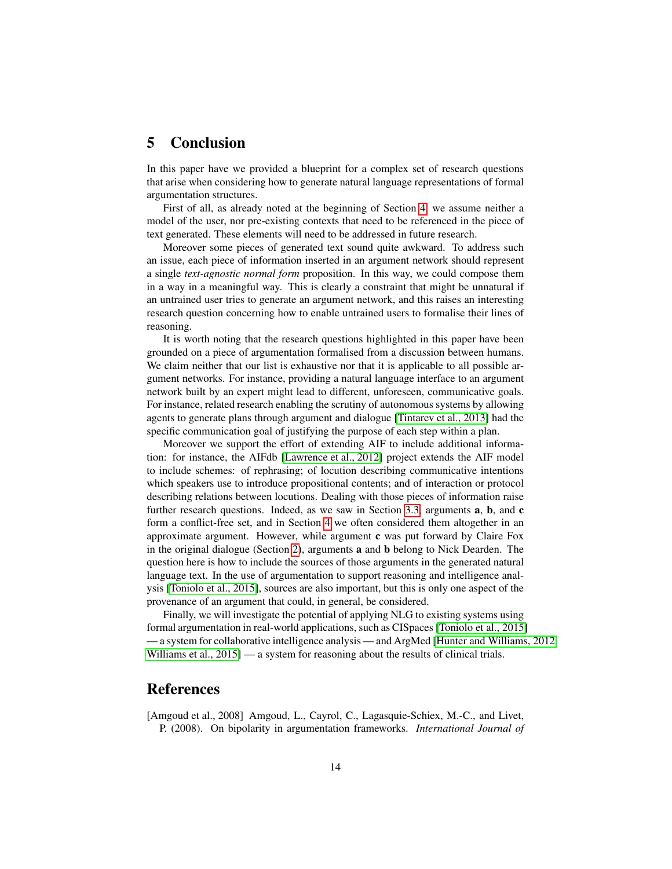# <span id="page-13-0"></span>5 Conclusion

In this paper have we provided a blueprint for a complex set of research questions that arise when considering how to generate natural language representations of formal argumentation structures.

First of all, as already noted at the beginning of Section [4,](#page-8-0) we assume neither a model of the user, nor pre-existing contexts that need to be referenced in the piece of text generated. These elements will need to be addressed in future research.

Moreover some pieces of generated text sound quite awkward. To address such an issue, each piece of information inserted in an argument network should represent a single *text-agnostic normal form* proposition. In this way, we could compose them in a way in a meaningful way. This is clearly a constraint that might be unnatural if an untrained user tries to generate an argument network, and this raises an interesting research question concerning how to enable untrained users to formalise their lines of reasoning.

It is worth noting that the research questions highlighted in this paper have been grounded on a piece of argumentation formalised from a discussion between humans. We claim neither that our list is exhaustive nor that it is applicable to all possible argument networks. For instance, providing a natural language interface to an argument network built by an expert might lead to different, unforeseen, communicative goals. For instance, related research enabling the scrutiny of autonomous systems by allowing agents to generate plans through argument and dialogue [\[Tintarev et al., 2013\]](#page-15-13) had the specific communication goal of justifying the purpose of each step within a plan.

Moreover we support the effort of extending AIF to include additional information: for instance, the AIFdb [\[Lawrence et al., 2012\]](#page-15-4) project extends the AIF model to include schemes: of rephrasing; of locution describing communicative intentions which speakers use to introduce propositional contents; and of interaction or protocol describing relations between locutions. Dealing with those pieces of information raise further research questions. Indeed, as we saw in Section [3.3,](#page-4-0) arguments a, b, and c form a conflict-free set, and in Section [4](#page-8-0) we often considered them altogether in an approximate argument. However, while argument c was put forward by Claire Fox in the original dialogue (Section [2\)](#page-1-0), arguments a and b belong to Nick Dearden. The question here is how to include the sources of those arguments in the generated natural language text. In the use of argumentation to support reasoning and intelligence analysis [\[Toniolo et al., 2015\]](#page-16-3), sources are also important, but this is only one aspect of the provenance of an argument that could, in general, be considered.

Finally, we will investigate the potential of applying NLG to existing systems using formal argumentation in real-world applications, such as CISpaces [\[Toniolo et al., 2015\]](#page-16-3) — a system for collaborative intelligence analysis — and ArgMed [\[Hunter and Williams, 2012,](#page-15-14) [Williams et al., 2015\]](#page-16-4) — a system for reasoning about the results of clinical trials.

# References

<span id="page-13-1"></span>[Amgoud et al., 2008] Amgoud, L., Cayrol, C., Lagasquie-Schiex, M.-C., and Livet, P. (2008). On bipolarity in argumentation frameworks. *International Journal of*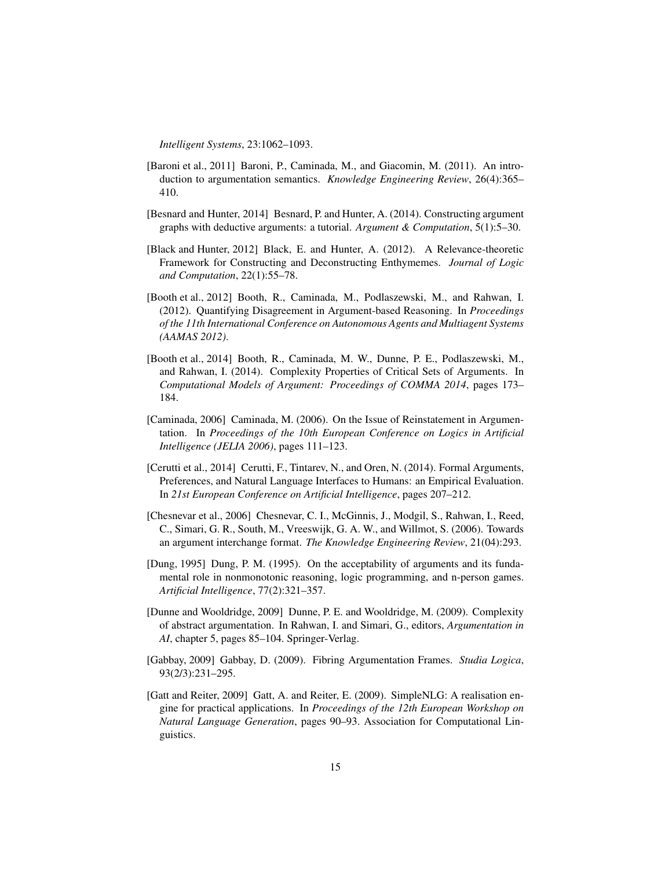*Intelligent Systems*, 23:1062–1093.

- <span id="page-14-6"></span>[Baroni et al., 2011] Baroni, P., Caminada, M., and Giacomin, M. (2011). An introduction to argumentation semantics. *Knowledge Engineering Review*, 26(4):365– 410.
- <span id="page-14-3"></span>[Besnard and Hunter, 2014] Besnard, P. and Hunter, A. (2014). Constructing argument graphs with deductive arguments: a tutorial. *Argument & Computation*, 5(1):5–30.
- <span id="page-14-4"></span>[Black and Hunter, 2012] Black, E. and Hunter, A. (2012). A Relevance-theoretic Framework for Constructing and Deconstructing Enthymemes. *Journal of Logic and Computation*, 22(1):55–78.
- <span id="page-14-8"></span>[Booth et al., 2012] Booth, R., Caminada, M., Podlaszewski, M., and Rahwan, I. (2012). Quantifying Disagreement in Argument-based Reasoning. In *Proceedings of the 11th International Conference on Autonomous Agents and Multiagent Systems (AAMAS 2012)*.
- <span id="page-14-9"></span>[Booth et al., 2014] Booth, R., Caminada, M. W., Dunne, P. E., Podlaszewski, M., and Rahwan, I. (2014). Complexity Properties of Critical Sets of Arguments. In *Computational Models of Argument: Proceedings of COMMA 2014*, pages 173– 184.
- <span id="page-14-5"></span>[Caminada, 2006] Caminada, M. (2006). On the Issue of Reinstatement in Argumentation. In *Proceedings of the 10th European Conference on Logics in Artificial Intelligence (JELIA 2006)*, pages 111–123.
- <span id="page-14-1"></span>[Cerutti et al., 2014] Cerutti, F., Tintarev, N., and Oren, N. (2014). Formal Arguments, Preferences, and Natural Language Interfaces to Humans: an Empirical Evaluation. In *21st European Conference on Artificial Intelligence*, pages 207–212.
- <span id="page-14-2"></span>[Chesnevar et al., 2006] Chesnevar, C. I., McGinnis, J., Modgil, S., Rahwan, I., Reed, C., Simari, G. R., South, M., Vreeswijk, G. A. W., and Willmot, S. (2006). Towards an argument interchange format. *The Knowledge Engineering Review*, 21(04):293.
- <span id="page-14-0"></span>[Dung, 1995] Dung, P. M. (1995). On the acceptability of arguments and its fundamental role in nonmonotonic reasoning, logic programming, and n-person games. *Artificial Intelligence*, 77(2):321–357.
- <span id="page-14-11"></span>[Dunne and Wooldridge, 2009] Dunne, P. E. and Wooldridge, M. (2009). Complexity of abstract argumentation. In Rahwan, I. and Simari, G., editors, *Argumentation in AI*, chapter 5, pages 85–104. Springer-Verlag.
- <span id="page-14-7"></span>[Gabbay, 2009] Gabbay, D. (2009). Fibring Argumentation Frames. *Studia Logica*, 93(2/3):231–295.
- <span id="page-14-10"></span>[Gatt and Reiter, 2009] Gatt, A. and Reiter, E. (2009). SimpleNLG: A realisation engine for practical applications. In *Proceedings of the 12th European Workshop on Natural Language Generation*, pages 90–93. Association for Computational Linguistics.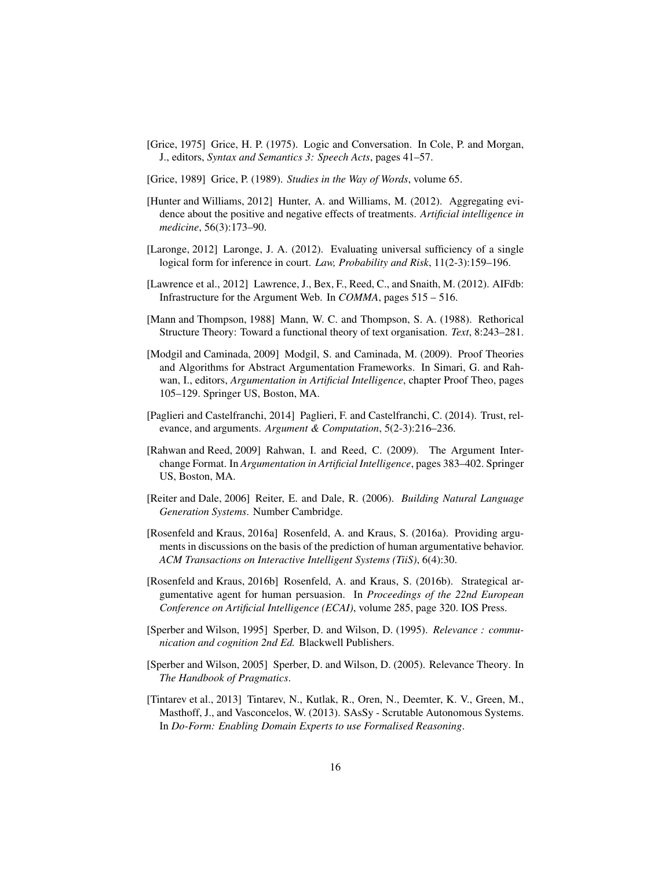- <span id="page-15-11"></span>[Grice, 1975] Grice, H. P. (1975). Logic and Conversation. In Cole, P. and Morgan, J., editors, *Syntax and Semantics 3: Speech Acts*, pages 41–57.
- <span id="page-15-7"></span>[Grice, 1989] Grice, P. (1989). *Studies in the Way of Words*, volume 65.
- <span id="page-15-14"></span>[Hunter and Williams, 2012] Hunter, A. and Williams, M. (2012). Aggregating evidence about the positive and negative effects of treatments. *Artificial intelligence in medicine*, 56(3):173–90.
- <span id="page-15-3"></span>[Laronge, 2012] Laronge, J. A. (2012). Evaluating universal sufficiency of a single logical form for inference in court. *Law, Probability and Risk*, 11(2-3):159–196.
- <span id="page-15-4"></span>[Lawrence et al., 2012] Lawrence, J., Bex, F., Reed, C., and Snaith, M. (2012). AIFdb: Infrastructure for the Argument Web. In *COMMA*, pages 515 – 516.
- <span id="page-15-6"></span>[Mann and Thompson, 1988] Mann, W. C. and Thompson, S. A. (1988). Rethorical Structure Theory: Toward a functional theory of text organisation. *Text*, 8:243–281.
- <span id="page-15-12"></span>[Modgil and Caminada, 2009] Modgil, S. and Caminada, M. (2009). Proof Theories and Algorithms for Abstract Argumentation Frameworks. In Simari, G. and Rahwan, I., editors, *Argumentation in Artificial Intelligence*, chapter Proof Theo, pages 105–129. Springer US, Boston, MA.
- <span id="page-15-10"></span>[Paglieri and Castelfranchi, 2014] Paglieri, F. and Castelfranchi, C. (2014). Trust, relevance, and arguments. *Argument & Computation*, 5(2-3):216–236.
- <span id="page-15-0"></span>[Rahwan and Reed, 2009] Rahwan, I. and Reed, C. (2009). The Argument Interchange Format. In *Argumentation in Artificial Intelligence*, pages 383–402. Springer US, Boston, MA.
- <span id="page-15-5"></span>[Reiter and Dale, 2006] Reiter, E. and Dale, R. (2006). *Building Natural Language Generation Systems*. Number Cambridge.
- <span id="page-15-1"></span>[Rosenfeld and Kraus, 2016a] Rosenfeld, A. and Kraus, S. (2016a). Providing arguments in discussions on the basis of the prediction of human argumentative behavior. *ACM Transactions on Interactive Intelligent Systems (TiiS)*, 6(4):30.
- <span id="page-15-2"></span>[Rosenfeld and Kraus, 2016b] Rosenfeld, A. and Kraus, S. (2016b). Strategical argumentative agent for human persuasion. In *Proceedings of the 22nd European Conference on Artificial Intelligence (ECAI)*, volume 285, page 320. IOS Press.
- <span id="page-15-9"></span>[Sperber and Wilson, 1995] Sperber, D. and Wilson, D. (1995). *Relevance : communication and cognition 2nd Ed.* Blackwell Publishers.
- <span id="page-15-8"></span>[Sperber and Wilson, 2005] Sperber, D. and Wilson, D. (2005). Relevance Theory. In *The Handbook of Pragmatics*.
- <span id="page-15-13"></span>[Tintarev et al., 2013] Tintarev, N., Kutlak, R., Oren, N., Deemter, K. V., Green, M., Masthoff, J., and Vasconcelos, W. (2013). SAsSy - Scrutable Autonomous Systems. In *Do-Form: Enabling Domain Experts to use Formalised Reasoning*.